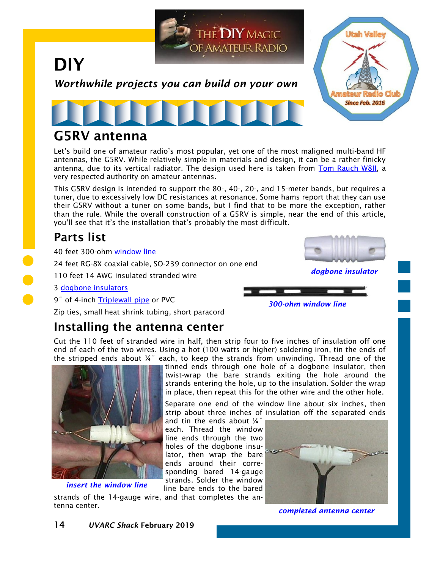

## **G5RV antenna**

Let's build one of amateur radio's most popular, yet one of the most maligned multi-band HF antennas, the G5RV. While relatively simple in materials and design, it can be a rather finicky antenna, due to its vertical radiator. The design used here is taken from [Tom Rauch W8JI,](https://www.w8ji.com/g5rv_facts.htm) a very respected authority on amateur antennas.

This G5RV design is intended to support the 80-, 40-, 20-, and 15-meter bands, but requires a tuner, due to excessively low DC resistances at resonance. Some hams report that they can use their G5RV without a tuner on some bands, but I find that to be more the exception, rather than the rule. While the overall construction of a G5RV is simple, near the end of this article, you'll see that it's the installation that's probably the most difficult.

# **Parts list**

40 feet 300-ohm [window line](https://www.dxengineering.com/parts/dxe-ll300-1c)

24 feet RG-8X coaxial cable, SO-239 connector on one end

110 feet 14 AWG insulated stranded wire

3 [dogbone insulators](https://amzn.to/2FOg31q)

9<sup>"</sup> of 4-inch [Triplewall pipe](https://www.homedepot.com/p/Advanced-Drainage-Systems-4-in-x-10-ft-Triple-Wall-Solid-Pipe-04560010/303020551) or PVC

Zip ties, small heat shrink tubing, short paracord

# **Installing the antenna center**

Cut the 110 feet of stranded wire in half, then strip four to five inches of insulation off one end of each of the two wires. Using a hot (100 watts or higher) soldering iron, tin the ends of the stripped ends about ¼˝ each, to keep the strands from unwinding. Thread one of the



strands of the 14-gauge wire, and that completes the an*insert the window line*

tenna center.

tinned ends through one hole of a dogbone insulator, then twist-wrap the bare strands exiting the hole around the strands entering the hole, up to the insulation. Solder the wrap in place, then repeat this for the other wire and the other hole.

Separate one end of the window line about six inches, then strip about three inches of insulation off the separated ends

and tin the ends about ¼˝ each. Thread the window line ends through the two holes of the dogbone insulator, then wrap the bare ends around their corresponding bared 14-gauge strands. Solder the window line bare ends to the bared



*completed antenna center*

*dogbone insulator*

*300-ohm window line*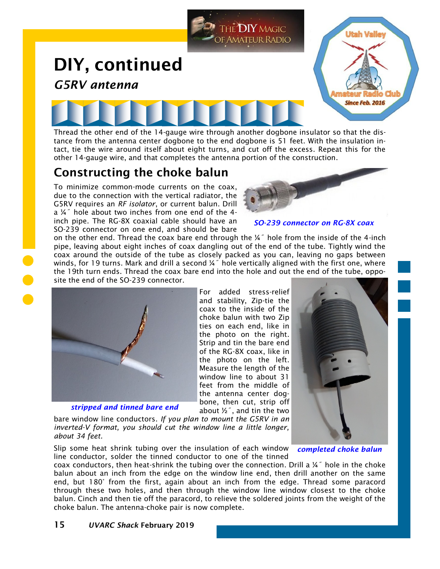

tance from the antenna center dogbone to the end dogbone is 51 feet. With the insulation intact, tie the wire around itself about eight turns, and cut off the excess. Repeat this for the other 14-gauge wire, and that completes the antenna portion of the construction.

### **Constructing the choke balun**

To minimize common-mode currents on the coax, due to the connection with the vertical radiator, the G5RV requires an *RF isolator*, or current balun. Drill a ¼˝ hole about two inches from one end of the 4 inch pipe. The RG-8X coaxial cable should have an SO-239 connector on one end, and should be bare



#### *SO-239 connector on RG-8X coax*

on the other end. Thread the coax bare end through the ¼˝ hole from the inside of the 4-inch pipe, leaving about eight inches of coax dangling out of the end of the tube. Tightly wind the coax around the outside of the tube as closely packed as you can, leaving no gaps between winds, for 19 turns. Mark and drill a second  $\frac{1}{4}$ " hole vertically aligned with the first one, where the 19th turn ends. Thread the coax bare end into the hole and out the end of the tube, opposite the end of the SO-239 connector.



*stripped and tinned bare end*

For added stress-relief and stability, Zip-tie the coax to the inside of the choke balun with two Zip ties on each end, like in the photo on the right. Strip and tin the bare end of the RG-8X coax, like in the photo on the left. Measure the length of the window line to about 31 feet from the middle of the antenna center dogbone, then cut, strip off about  $\frac{1}{2}$ , and tin the two

bare window line conductors. *If you plan to mount the G5RV in an inverted-V format, you should cut the window line a little longer, about 34 feet.*

Slip some heat shrink tubing over the insulation of each window line conductor, solder the tinned conductor to one of the tinned



*completed choke balun*

coax conductors, then heat-shrink the tubing over the connection. Drill a  $\frac{1}{4}$  hole in the choke balun about an inch from the edge on the window line end, then drill another on the same end, but 180° from the first, again about an inch from the edge. Thread some paracord through these two holes, and then through the window line window closest to the choke balun. Cinch and then tie off the paracord, to relieve the soldered joints from the weight of the choke balun. The antenna-choke pair is now complete.